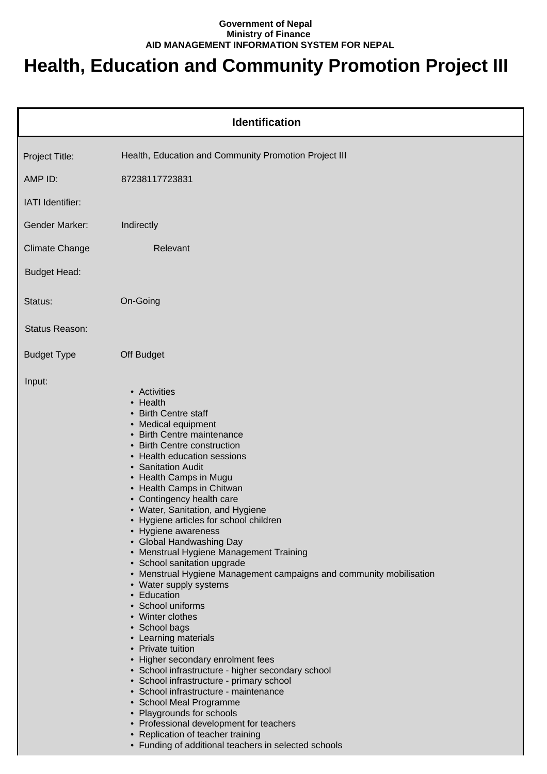## **Government of Nepal Ministry of Finance AID MANAGEMENT INFORMATION SYSTEM FOR NEPAL**

## **Health, Education and Community Promotion Project III**

| <b>Identification</b> |                                                                                                                                                                                                                                                                                                                                                                                                                                                                                                                                                                                                                                                                                                                                                                                                                                                                                                                                                                                                                                                                                                |  |
|-----------------------|------------------------------------------------------------------------------------------------------------------------------------------------------------------------------------------------------------------------------------------------------------------------------------------------------------------------------------------------------------------------------------------------------------------------------------------------------------------------------------------------------------------------------------------------------------------------------------------------------------------------------------------------------------------------------------------------------------------------------------------------------------------------------------------------------------------------------------------------------------------------------------------------------------------------------------------------------------------------------------------------------------------------------------------------------------------------------------------------|--|
| Project Title:        | Health, Education and Community Promotion Project III                                                                                                                                                                                                                                                                                                                                                                                                                                                                                                                                                                                                                                                                                                                                                                                                                                                                                                                                                                                                                                          |  |
| AMP ID:               | 87238117723831                                                                                                                                                                                                                                                                                                                                                                                                                                                                                                                                                                                                                                                                                                                                                                                                                                                                                                                                                                                                                                                                                 |  |
| IATI Identifier:      |                                                                                                                                                                                                                                                                                                                                                                                                                                                                                                                                                                                                                                                                                                                                                                                                                                                                                                                                                                                                                                                                                                |  |
| <b>Gender Marker:</b> | Indirectly                                                                                                                                                                                                                                                                                                                                                                                                                                                                                                                                                                                                                                                                                                                                                                                                                                                                                                                                                                                                                                                                                     |  |
| <b>Climate Change</b> | Relevant                                                                                                                                                                                                                                                                                                                                                                                                                                                                                                                                                                                                                                                                                                                                                                                                                                                                                                                                                                                                                                                                                       |  |
| <b>Budget Head:</b>   |                                                                                                                                                                                                                                                                                                                                                                                                                                                                                                                                                                                                                                                                                                                                                                                                                                                                                                                                                                                                                                                                                                |  |
| Status:               | On-Going                                                                                                                                                                                                                                                                                                                                                                                                                                                                                                                                                                                                                                                                                                                                                                                                                                                                                                                                                                                                                                                                                       |  |
| Status Reason:        |                                                                                                                                                                                                                                                                                                                                                                                                                                                                                                                                                                                                                                                                                                                                                                                                                                                                                                                                                                                                                                                                                                |  |
| <b>Budget Type</b>    | Off Budget                                                                                                                                                                                                                                                                                                                                                                                                                                                                                                                                                                                                                                                                                                                                                                                                                                                                                                                                                                                                                                                                                     |  |
| Input:                | • Activities<br>• Health<br>• Birth Centre staff<br>• Medical equipment<br>• Birth Centre maintenance<br>• Birth Centre construction<br>• Health education sessions<br>• Sanitation Audit<br>• Health Camps in Mugu<br>• Health Camps in Chitwan<br>• Contingency health care<br>• Water, Sanitation, and Hygiene<br>• Hygiene articles for school children<br>• Hygiene awareness<br>• Global Handwashing Day<br>• Menstrual Hygiene Management Training<br>• School sanitation upgrade<br>• Menstrual Hygiene Management campaigns and community mobilisation<br>• Water supply systems<br>• Education<br>• School uniforms<br>• Winter clothes<br>• School bags<br>• Learning materials<br>• Private tuition<br>• Higher secondary enrolment fees<br>• School infrastructure - higher secondary school<br>• School infrastructure - primary school<br>• School infrastructure - maintenance<br>• School Meal Programme<br>• Playgrounds for schools<br>• Professional development for teachers<br>• Replication of teacher training<br>• Funding of additional teachers in selected schools |  |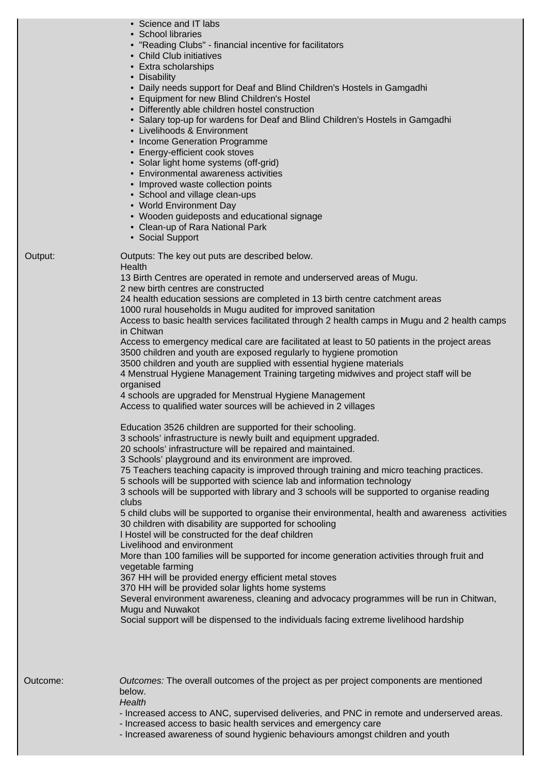|         | • Science and IT labs<br>• School libraries<br>• "Reading Clubs" - financial incentive for facilitators<br>• Child Club initiatives<br>• Extra scholarships<br>• Disability<br>• Daily needs support for Deaf and Blind Children's Hostels in Gamgadhi<br>• Equipment for new Blind Children's Hostel<br>• Differently able children hostel construction<br>• Salary top-up for wardens for Deaf and Blind Children's Hostels in Gamgadhi<br>• Livelihoods & Environment<br>• Income Generation Programme<br>• Energy-efficient cook stoves<br>• Solar light home systems (off-grid)<br>• Environmental awareness activities<br>• Improved waste collection points<br>• School and village clean-ups<br>• World Environment Day<br>• Wooden guideposts and educational signage<br>• Clean-up of Rara National Park<br>• Social Support                                                                                                                                                                                                                                                                                                                                                                                                 |
|---------|----------------------------------------------------------------------------------------------------------------------------------------------------------------------------------------------------------------------------------------------------------------------------------------------------------------------------------------------------------------------------------------------------------------------------------------------------------------------------------------------------------------------------------------------------------------------------------------------------------------------------------------------------------------------------------------------------------------------------------------------------------------------------------------------------------------------------------------------------------------------------------------------------------------------------------------------------------------------------------------------------------------------------------------------------------------------------------------------------------------------------------------------------------------------------------------------------------------------------------------|
| Output: | Outputs: The key out puts are described below.<br>Health<br>13 Birth Centres are operated in remote and underserved areas of Mugu.<br>2 new birth centres are constructed<br>24 health education sessions are completed in 13 birth centre catchment areas<br>1000 rural households in Mugu audited for improved sanitation<br>Access to basic health services facilitated through 2 health camps in Mugu and 2 health camps<br>in Chitwan<br>Access to emergency medical care are facilitated at least to 50 patients in the project areas<br>3500 children and youth are exposed regularly to hygiene promotion<br>3500 children and youth are supplied with essential hygiene materials<br>4 Menstrual Hygiene Management Training targeting midwives and project staff will be<br>organised<br>4 schools are upgraded for Menstrual Hygiene Management<br>Access to qualified water sources will be achieved in 2 villages                                                                                                                                                                                                                                                                                                         |
|         | Education 3526 children are supported for their schooling.<br>3 schools' infrastructure is newly built and equipment upgraded.<br>20 schools' infrastructure will be repaired and maintained.<br>3 Schools' playground and its environment are improved.<br>75 Teachers teaching capacity is improved through training and micro teaching practices.<br>5 schools will be supported with science lab and information technology<br>3 schools will be supported with library and 3 schools will be supported to organise reading<br>clubs<br>5 child clubs will be supported to organise their environmental, health and awareness activities<br>30 children with disability are supported for schooling<br>I Hostel will be constructed for the deaf children<br>Livelihood and environment<br>More than 100 families will be supported for income generation activities through fruit and<br>vegetable farming<br>367 HH will be provided energy efficient metal stoves<br>370 HH will be provided solar lights home systems<br>Several environment awareness, cleaning and advocacy programmes will be run in Chitwan,<br>Mugu and Nuwakot<br>Social support will be dispensed to the individuals facing extreme livelihood hardship |
|         |                                                                                                                                                                                                                                                                                                                                                                                                                                                                                                                                                                                                                                                                                                                                                                                                                                                                                                                                                                                                                                                                                                                                                                                                                                        |

Outcome: Outcomes: The overall outcomes of the project as per project components are mentioned below.

## **Health**

- Increased access to ANC, supervised deliveries, and PNC in remote and underserved areas.

- Increased access to basic health services and emergency care

- Increased awareness of sound hygienic behaviours amongst children and youth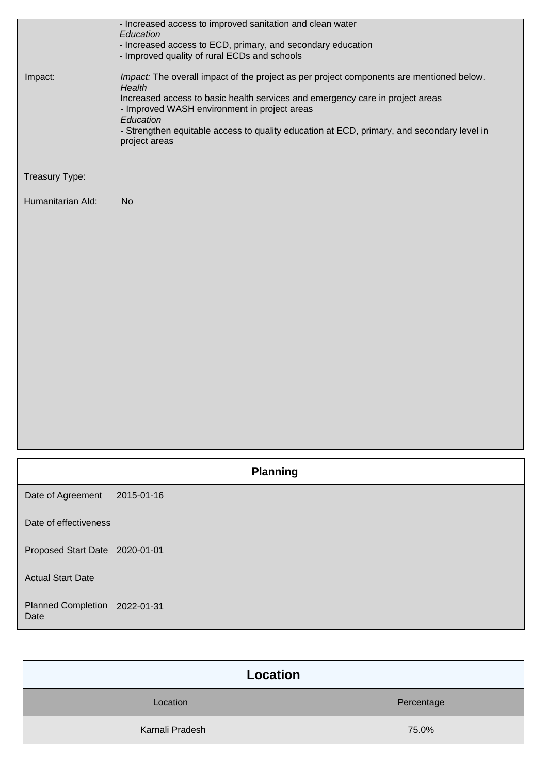|                                   | - Increased access to improved sanitation and clean water<br>Education<br>- Increased access to ECD, primary, and secondary education |
|-----------------------------------|---------------------------------------------------------------------------------------------------------------------------------------|
|                                   | - Improved quality of rural ECDs and schools                                                                                          |
| Impact:                           | Impact: The overall impact of the project as per project components are mentioned below.<br>Health                                    |
|                                   | Increased access to basic health services and emergency care in project areas<br>- Improved WASH environment in project areas         |
|                                   | Education<br>- Strengthen equitable access to quality education at ECD, primary, and secondary level in<br>project areas              |
| Treasury Type:                    |                                                                                                                                       |
| Humanitarian Ald:                 | <b>No</b>                                                                                                                             |
|                                   |                                                                                                                                       |
|                                   |                                                                                                                                       |
|                                   |                                                                                                                                       |
|                                   |                                                                                                                                       |
|                                   |                                                                                                                                       |
|                                   |                                                                                                                                       |
|                                   |                                                                                                                                       |
|                                   |                                                                                                                                       |
|                                   |                                                                                                                                       |
|                                   | <b>Planning</b>                                                                                                                       |
| Date of Agreement                 | 2015-01-16                                                                                                                            |
| Date of effectiveness             |                                                                                                                                       |
| Proposed Start Date 2020-01-01    |                                                                                                                                       |
| <b>Actual Start Date</b>          |                                                                                                                                       |
| <b>Planned Completion</b><br>Date | 2022-01-31                                                                                                                            |

| Location        |            |
|-----------------|------------|
| Location        | Percentage |
| Karnali Pradesh | 75.0%      |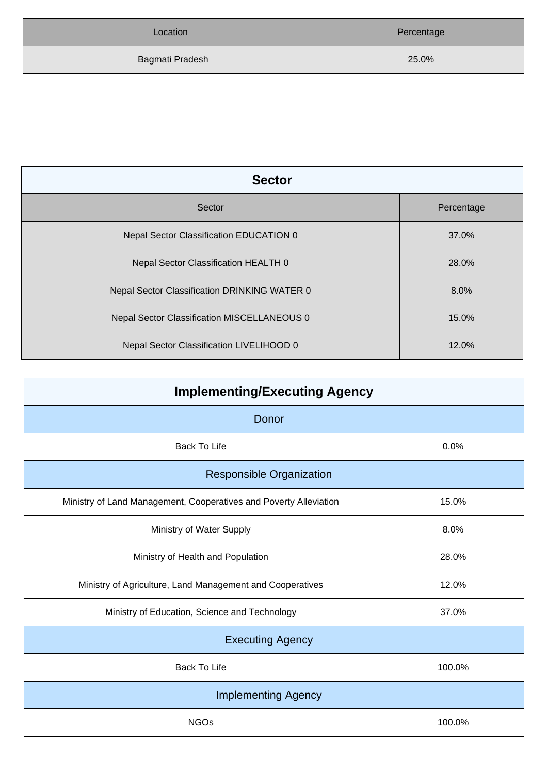| Location        | Percentage |
|-----------------|------------|
| Bagmati Pradesh | 25.0%      |

| <b>Sector</b>                                |            |  |
|----------------------------------------------|------------|--|
| Sector                                       | Percentage |  |
| Nepal Sector Classification EDUCATION 0      | 37.0%      |  |
| Nepal Sector Classification HEALTH 0         | 28.0%      |  |
| Nepal Sector Classification DRINKING WATER 0 | 8.0%       |  |
| Nepal Sector Classification MISCELLANEOUS 0  | 15.0%      |  |
| Nepal Sector Classification LIVELIHOOD 0     | 12.0%      |  |

| <b>Implementing/Executing Agency</b>                              |        |  |
|-------------------------------------------------------------------|--------|--|
| Donor                                                             |        |  |
| <b>Back To Life</b>                                               | 0.0%   |  |
| <b>Responsible Organization</b>                                   |        |  |
| Ministry of Land Management, Cooperatives and Poverty Alleviation | 15.0%  |  |
| Ministry of Water Supply                                          | 8.0%   |  |
| Ministry of Health and Population                                 | 28.0%  |  |
| Ministry of Agriculture, Land Management and Cooperatives         | 12.0%  |  |
| Ministry of Education, Science and Technology                     | 37.0%  |  |
| <b>Executing Agency</b>                                           |        |  |
| <b>Back To Life</b>                                               | 100.0% |  |
| <b>Implementing Agency</b>                                        |        |  |
| <b>NGOs</b>                                                       | 100.0% |  |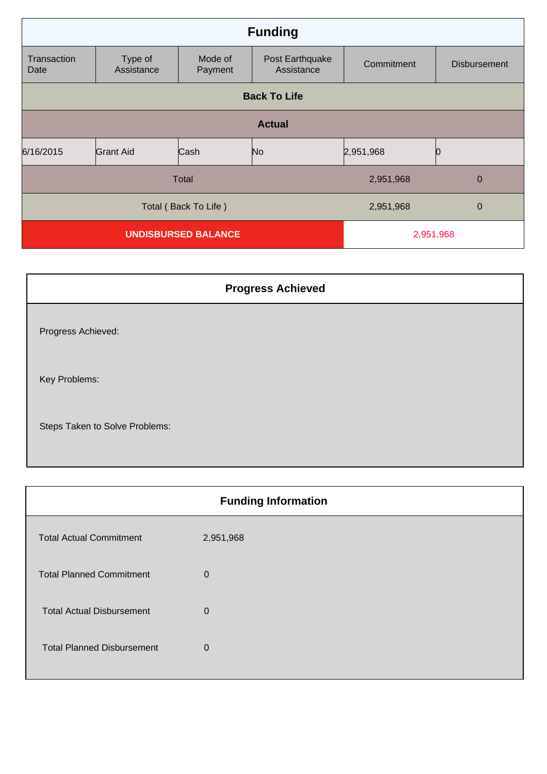| <b>Funding</b>             |                       |                    |                               |             |                     |
|----------------------------|-----------------------|--------------------|-------------------------------|-------------|---------------------|
| Transaction<br>Date        | Type of<br>Assistance | Mode of<br>Payment | Post Earthquake<br>Assistance | Commitment  | <b>Disbursement</b> |
| <b>Back To Life</b>        |                       |                    |                               |             |                     |
| <b>Actual</b>              |                       |                    |                               |             |                     |
| 6/16/2015                  | <b>Grant Aid</b>      | Cash               | No                            | 2,951,968   |                     |
| Total                      |                       |                    | 2,951,968                     | $\mathbf 0$ |                     |
| Total (Back To Life)       |                       |                    | 2,951,968                     | $\mathbf 0$ |                     |
| <b>UNDISBURSED BALANCE</b> |                       |                    | 2,951,968                     |             |                     |

| <b>Progress Achieved</b>       |  |
|--------------------------------|--|
| Progress Achieved:             |  |
| Key Problems:                  |  |
| Steps Taken to Solve Problems: |  |

| <b>Funding Information</b>        |             |  |
|-----------------------------------|-------------|--|
| <b>Total Actual Commitment</b>    | 2,951,968   |  |
| <b>Total Planned Commitment</b>   | $\mathbf 0$ |  |
| <b>Total Actual Disbursement</b>  | 0           |  |
| <b>Total Planned Disbursement</b> | 0           |  |
|                                   |             |  |